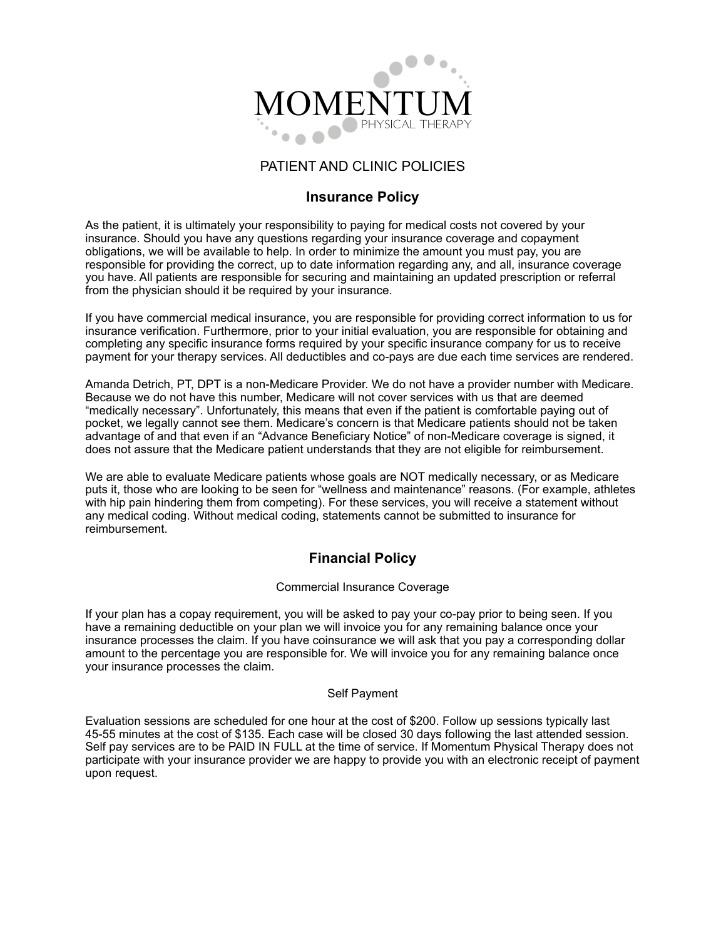

### PATIENT AND CLINIC POLICIES

### **Insurance Policy**

As the patient, it is ultimately your responsibility to paying for medical costs not covered by your insurance. Should you have any questions regarding your insurance coverage and copayment obligations, we will be available to help. In order to minimize the amount you must pay, you are responsible for providing the correct, up to date information regarding any, and all, insurance coverage you have. All patients are responsible for securing and maintaining an updated prescription or referral from the physician should it be required by your insurance.

If you have commercial medical insurance, you are responsible for providing correct information to us for insurance verification. Furthermore, prior to your initial evaluation, you are responsible for obtaining and completing any specific insurance forms required by your specific insurance company for us to receive payment for your therapy services. All deductibles and co-pays are due each time services are rendered.

Amanda Detrich, PT, DPT is a non-Medicare Provider. We do not have a provider number with Medicare. Because we do not have this number, Medicare will not cover services with us that are deemed "medically necessary". Unfortunately, this means that even if the patient is comfortable paying out of pocket, we legally cannot see them. Medicare's concern is that Medicare patients should not be taken advantage of and that even if an "Advance Beneficiary Notice" of non-Medicare coverage is signed, it does not assure that the Medicare patient understands that they are not eligible for reimbursement.

We are able to evaluate Medicare patients whose goals are NOT medically necessary, or as Medicare puts it, those who are looking to be seen for "wellness and maintenance" reasons. (For example, athletes with hip pain hindering them from competing). For these services, you will receive a statement without any medical coding. Without medical coding, statements cannot be submitted to insurance for reimbursement.

# **Financial Policy**

#### Commercial Insurance Coverage

If your plan has a copay requirement, you will be asked to pay your co-pay prior to being seen. If you have a remaining deductible on your plan we will invoice you for any remaining balance once your insurance processes the claim. If you have coinsurance we will ask that you pay a corresponding dollar amount to the percentage you are responsible for. We will invoice you for any remaining balance once your insurance processes the claim.

#### Self Payment

Evaluation sessions are scheduled for one hour at the cost of \$200. Follow up sessions typically last 45-55 minutes at the cost of \$135. Each case will be closed 30 days following the last attended session. Self pay services are to be PAID IN FULL at the time of service. If Momentum Physical Therapy does not participate with your insurance provider we are happy to provide you with an electronic receipt of payment upon request.